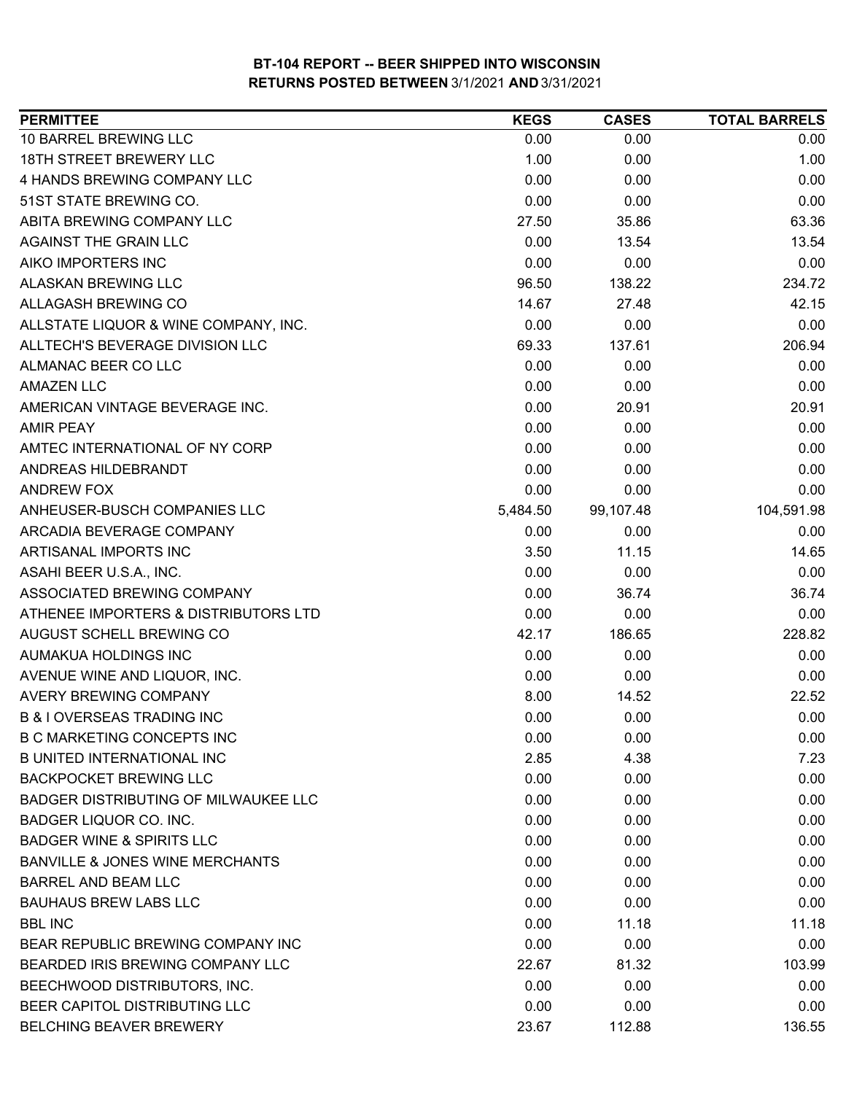| 10 BARREL BREWING LLC<br>0.00<br>0.00<br>0.00<br><b>18TH STREET BREWERY LLC</b><br>1.00<br>1.00<br>0.00<br>4 HANDS BREWING COMPANY LLC<br>0.00<br>0.00<br>0.00<br>51ST STATE BREWING CO.<br>0.00<br>0.00<br>0.00<br>ABITA BREWING COMPANY LLC<br>27.50<br>35.86<br>63.36<br>AGAINST THE GRAIN LLC<br>0.00<br>13.54<br>13.54<br>AIKO IMPORTERS INC<br>0.00<br>0.00<br>0.00<br><b>ALASKAN BREWING LLC</b><br>138.22<br>96.50<br>234.72<br><b>ALLAGASH BREWING CO</b><br>14.67<br>42.15<br>27.48<br>0.00<br>0.00<br>ALLSTATE LIQUOR & WINE COMPANY, INC.<br>0.00<br>ALLTECH'S BEVERAGE DIVISION LLC<br>69.33<br>206.94<br>137.61<br>ALMANAC BEER CO LLC<br>0.00<br>0.00<br>0.00<br>0.00<br><b>AMAZEN LLC</b><br>0.00<br>0.00<br>0.00<br>20.91<br>AMERICAN VINTAGE BEVERAGE INC.<br>20.91<br><b>AMIR PEAY</b><br>0.00<br>0.00<br>0.00<br>0.00<br>0.00<br>AMTEC INTERNATIONAL OF NY CORP<br>0.00<br>ANDREAS HILDEBRANDT<br>0.00<br>0.00<br>0.00<br>0.00<br>0.00<br>0.00<br>ANDREW FOX<br>ANHEUSER-BUSCH COMPANIES LLC<br>104,591.98<br>5,484.50<br>99,107.48<br>ARCADIA BEVERAGE COMPANY<br>0.00<br>0.00<br>0.00<br>ARTISANAL IMPORTS INC<br>3.50<br>11.15<br>14.65<br>ASAHI BEER U.S.A., INC.<br>0.00<br>0.00<br>0.00<br>ASSOCIATED BREWING COMPANY<br>0.00<br>36.74<br>36.74<br>ATHENEE IMPORTERS & DISTRIBUTORS LTD<br>0.00<br>0.00<br>0.00<br>42.17<br>186.65<br>228.82<br>AUGUST SCHELL BREWING CO<br>0.00<br>0.00<br>0.00<br>AUMAKUA HOLDINGS INC<br>AVENUE WINE AND LIQUOR, INC.<br>0.00<br>0.00<br>0.00<br><b>AVERY BREWING COMPANY</b><br>8.00<br>14.52<br>22.52<br><b>B &amp; I OVERSEAS TRADING INC</b><br>0.00<br>0.00<br>0.00<br><b>B C MARKETING CONCEPTS INC</b><br>0.00<br>0.00<br>0.00<br>2.85<br><b>B UNITED INTERNATIONAL INC</b><br>4.38<br>7.23<br><b>BACKPOCKET BREWING LLC</b><br>0.00<br>0.00<br>0.00<br><b>BADGER DISTRIBUTING OF MILWAUKEE LLC</b><br>0.00<br>0.00<br>0.00<br>BADGER LIQUOR CO. INC.<br>0.00<br>0.00<br>0.00<br><b>BADGER WINE &amp; SPIRITS LLC</b><br>0.00<br>0.00<br>0.00<br><b>BANVILLE &amp; JONES WINE MERCHANTS</b><br>0.00<br>0.00<br>0.00<br><b>BARREL AND BEAM LLC</b><br>0.00<br>0.00<br>0.00<br><b>BAUHAUS BREW LABS LLC</b><br>0.00<br>0.00<br>0.00<br><b>BBL INC</b><br>0.00<br>11.18<br>11.18<br>0.00<br>0.00<br>BEAR REPUBLIC BREWING COMPANY INC<br>0.00<br>BEARDED IRIS BREWING COMPANY LLC<br>22.67<br>81.32<br>103.99<br>0.00<br>BEECHWOOD DISTRIBUTORS, INC.<br>0.00<br>0.00<br>BEER CAPITOL DISTRIBUTING LLC<br>0.00<br>0.00<br>0.00<br>BELCHING BEAVER BREWERY<br>23.67<br>112.88<br>136.55 | <b>PERMITTEE</b> | <b>KEGS</b> | <b>CASES</b> | <b>TOTAL BARRELS</b> |
|---------------------------------------------------------------------------------------------------------------------------------------------------------------------------------------------------------------------------------------------------------------------------------------------------------------------------------------------------------------------------------------------------------------------------------------------------------------------------------------------------------------------------------------------------------------------------------------------------------------------------------------------------------------------------------------------------------------------------------------------------------------------------------------------------------------------------------------------------------------------------------------------------------------------------------------------------------------------------------------------------------------------------------------------------------------------------------------------------------------------------------------------------------------------------------------------------------------------------------------------------------------------------------------------------------------------------------------------------------------------------------------------------------------------------------------------------------------------------------------------------------------------------------------------------------------------------------------------------------------------------------------------------------------------------------------------------------------------------------------------------------------------------------------------------------------------------------------------------------------------------------------------------------------------------------------------------------------------------------------------------------------------------------------------------------------------------------------------------------------------------------------------------------------------------------------------------------------------------------------------------------------------------------------------------------------------------------------------------------------------------------------------------------------------------------------------------------------------------------------------------------------------------------------------------------|------------------|-------------|--------------|----------------------|
|                                                                                                                                                                                                                                                                                                                                                                                                                                                                                                                                                                                                                                                                                                                                                                                                                                                                                                                                                                                                                                                                                                                                                                                                                                                                                                                                                                                                                                                                                                                                                                                                                                                                                                                                                                                                                                                                                                                                                                                                                                                                                                                                                                                                                                                                                                                                                                                                                                                                                                                                                         |                  |             |              |                      |
|                                                                                                                                                                                                                                                                                                                                                                                                                                                                                                                                                                                                                                                                                                                                                                                                                                                                                                                                                                                                                                                                                                                                                                                                                                                                                                                                                                                                                                                                                                                                                                                                                                                                                                                                                                                                                                                                                                                                                                                                                                                                                                                                                                                                                                                                                                                                                                                                                                                                                                                                                         |                  |             |              |                      |
|                                                                                                                                                                                                                                                                                                                                                                                                                                                                                                                                                                                                                                                                                                                                                                                                                                                                                                                                                                                                                                                                                                                                                                                                                                                                                                                                                                                                                                                                                                                                                                                                                                                                                                                                                                                                                                                                                                                                                                                                                                                                                                                                                                                                                                                                                                                                                                                                                                                                                                                                                         |                  |             |              |                      |
|                                                                                                                                                                                                                                                                                                                                                                                                                                                                                                                                                                                                                                                                                                                                                                                                                                                                                                                                                                                                                                                                                                                                                                                                                                                                                                                                                                                                                                                                                                                                                                                                                                                                                                                                                                                                                                                                                                                                                                                                                                                                                                                                                                                                                                                                                                                                                                                                                                                                                                                                                         |                  |             |              |                      |
|                                                                                                                                                                                                                                                                                                                                                                                                                                                                                                                                                                                                                                                                                                                                                                                                                                                                                                                                                                                                                                                                                                                                                                                                                                                                                                                                                                                                                                                                                                                                                                                                                                                                                                                                                                                                                                                                                                                                                                                                                                                                                                                                                                                                                                                                                                                                                                                                                                                                                                                                                         |                  |             |              |                      |
|                                                                                                                                                                                                                                                                                                                                                                                                                                                                                                                                                                                                                                                                                                                                                                                                                                                                                                                                                                                                                                                                                                                                                                                                                                                                                                                                                                                                                                                                                                                                                                                                                                                                                                                                                                                                                                                                                                                                                                                                                                                                                                                                                                                                                                                                                                                                                                                                                                                                                                                                                         |                  |             |              |                      |
|                                                                                                                                                                                                                                                                                                                                                                                                                                                                                                                                                                                                                                                                                                                                                                                                                                                                                                                                                                                                                                                                                                                                                                                                                                                                                                                                                                                                                                                                                                                                                                                                                                                                                                                                                                                                                                                                                                                                                                                                                                                                                                                                                                                                                                                                                                                                                                                                                                                                                                                                                         |                  |             |              |                      |
|                                                                                                                                                                                                                                                                                                                                                                                                                                                                                                                                                                                                                                                                                                                                                                                                                                                                                                                                                                                                                                                                                                                                                                                                                                                                                                                                                                                                                                                                                                                                                                                                                                                                                                                                                                                                                                                                                                                                                                                                                                                                                                                                                                                                                                                                                                                                                                                                                                                                                                                                                         |                  |             |              |                      |
|                                                                                                                                                                                                                                                                                                                                                                                                                                                                                                                                                                                                                                                                                                                                                                                                                                                                                                                                                                                                                                                                                                                                                                                                                                                                                                                                                                                                                                                                                                                                                                                                                                                                                                                                                                                                                                                                                                                                                                                                                                                                                                                                                                                                                                                                                                                                                                                                                                                                                                                                                         |                  |             |              |                      |
|                                                                                                                                                                                                                                                                                                                                                                                                                                                                                                                                                                                                                                                                                                                                                                                                                                                                                                                                                                                                                                                                                                                                                                                                                                                                                                                                                                                                                                                                                                                                                                                                                                                                                                                                                                                                                                                                                                                                                                                                                                                                                                                                                                                                                                                                                                                                                                                                                                                                                                                                                         |                  |             |              |                      |
|                                                                                                                                                                                                                                                                                                                                                                                                                                                                                                                                                                                                                                                                                                                                                                                                                                                                                                                                                                                                                                                                                                                                                                                                                                                                                                                                                                                                                                                                                                                                                                                                                                                                                                                                                                                                                                                                                                                                                                                                                                                                                                                                                                                                                                                                                                                                                                                                                                                                                                                                                         |                  |             |              |                      |
|                                                                                                                                                                                                                                                                                                                                                                                                                                                                                                                                                                                                                                                                                                                                                                                                                                                                                                                                                                                                                                                                                                                                                                                                                                                                                                                                                                                                                                                                                                                                                                                                                                                                                                                                                                                                                                                                                                                                                                                                                                                                                                                                                                                                                                                                                                                                                                                                                                                                                                                                                         |                  |             |              |                      |
|                                                                                                                                                                                                                                                                                                                                                                                                                                                                                                                                                                                                                                                                                                                                                                                                                                                                                                                                                                                                                                                                                                                                                                                                                                                                                                                                                                                                                                                                                                                                                                                                                                                                                                                                                                                                                                                                                                                                                                                                                                                                                                                                                                                                                                                                                                                                                                                                                                                                                                                                                         |                  |             |              |                      |
|                                                                                                                                                                                                                                                                                                                                                                                                                                                                                                                                                                                                                                                                                                                                                                                                                                                                                                                                                                                                                                                                                                                                                                                                                                                                                                                                                                                                                                                                                                                                                                                                                                                                                                                                                                                                                                                                                                                                                                                                                                                                                                                                                                                                                                                                                                                                                                                                                                                                                                                                                         |                  |             |              |                      |
|                                                                                                                                                                                                                                                                                                                                                                                                                                                                                                                                                                                                                                                                                                                                                                                                                                                                                                                                                                                                                                                                                                                                                                                                                                                                                                                                                                                                                                                                                                                                                                                                                                                                                                                                                                                                                                                                                                                                                                                                                                                                                                                                                                                                                                                                                                                                                                                                                                                                                                                                                         |                  |             |              |                      |
|                                                                                                                                                                                                                                                                                                                                                                                                                                                                                                                                                                                                                                                                                                                                                                                                                                                                                                                                                                                                                                                                                                                                                                                                                                                                                                                                                                                                                                                                                                                                                                                                                                                                                                                                                                                                                                                                                                                                                                                                                                                                                                                                                                                                                                                                                                                                                                                                                                                                                                                                                         |                  |             |              |                      |
|                                                                                                                                                                                                                                                                                                                                                                                                                                                                                                                                                                                                                                                                                                                                                                                                                                                                                                                                                                                                                                                                                                                                                                                                                                                                                                                                                                                                                                                                                                                                                                                                                                                                                                                                                                                                                                                                                                                                                                                                                                                                                                                                                                                                                                                                                                                                                                                                                                                                                                                                                         |                  |             |              |                      |
|                                                                                                                                                                                                                                                                                                                                                                                                                                                                                                                                                                                                                                                                                                                                                                                                                                                                                                                                                                                                                                                                                                                                                                                                                                                                                                                                                                                                                                                                                                                                                                                                                                                                                                                                                                                                                                                                                                                                                                                                                                                                                                                                                                                                                                                                                                                                                                                                                                                                                                                                                         |                  |             |              |                      |
|                                                                                                                                                                                                                                                                                                                                                                                                                                                                                                                                                                                                                                                                                                                                                                                                                                                                                                                                                                                                                                                                                                                                                                                                                                                                                                                                                                                                                                                                                                                                                                                                                                                                                                                                                                                                                                                                                                                                                                                                                                                                                                                                                                                                                                                                                                                                                                                                                                                                                                                                                         |                  |             |              |                      |
|                                                                                                                                                                                                                                                                                                                                                                                                                                                                                                                                                                                                                                                                                                                                                                                                                                                                                                                                                                                                                                                                                                                                                                                                                                                                                                                                                                                                                                                                                                                                                                                                                                                                                                                                                                                                                                                                                                                                                                                                                                                                                                                                                                                                                                                                                                                                                                                                                                                                                                                                                         |                  |             |              |                      |
|                                                                                                                                                                                                                                                                                                                                                                                                                                                                                                                                                                                                                                                                                                                                                                                                                                                                                                                                                                                                                                                                                                                                                                                                                                                                                                                                                                                                                                                                                                                                                                                                                                                                                                                                                                                                                                                                                                                                                                                                                                                                                                                                                                                                                                                                                                                                                                                                                                                                                                                                                         |                  |             |              |                      |
|                                                                                                                                                                                                                                                                                                                                                                                                                                                                                                                                                                                                                                                                                                                                                                                                                                                                                                                                                                                                                                                                                                                                                                                                                                                                                                                                                                                                                                                                                                                                                                                                                                                                                                                                                                                                                                                                                                                                                                                                                                                                                                                                                                                                                                                                                                                                                                                                                                                                                                                                                         |                  |             |              |                      |
|                                                                                                                                                                                                                                                                                                                                                                                                                                                                                                                                                                                                                                                                                                                                                                                                                                                                                                                                                                                                                                                                                                                                                                                                                                                                                                                                                                                                                                                                                                                                                                                                                                                                                                                                                                                                                                                                                                                                                                                                                                                                                                                                                                                                                                                                                                                                                                                                                                                                                                                                                         |                  |             |              |                      |
|                                                                                                                                                                                                                                                                                                                                                                                                                                                                                                                                                                                                                                                                                                                                                                                                                                                                                                                                                                                                                                                                                                                                                                                                                                                                                                                                                                                                                                                                                                                                                                                                                                                                                                                                                                                                                                                                                                                                                                                                                                                                                                                                                                                                                                                                                                                                                                                                                                                                                                                                                         |                  |             |              |                      |
|                                                                                                                                                                                                                                                                                                                                                                                                                                                                                                                                                                                                                                                                                                                                                                                                                                                                                                                                                                                                                                                                                                                                                                                                                                                                                                                                                                                                                                                                                                                                                                                                                                                                                                                                                                                                                                                                                                                                                                                                                                                                                                                                                                                                                                                                                                                                                                                                                                                                                                                                                         |                  |             |              |                      |
|                                                                                                                                                                                                                                                                                                                                                                                                                                                                                                                                                                                                                                                                                                                                                                                                                                                                                                                                                                                                                                                                                                                                                                                                                                                                                                                                                                                                                                                                                                                                                                                                                                                                                                                                                                                                                                                                                                                                                                                                                                                                                                                                                                                                                                                                                                                                                                                                                                                                                                                                                         |                  |             |              |                      |
|                                                                                                                                                                                                                                                                                                                                                                                                                                                                                                                                                                                                                                                                                                                                                                                                                                                                                                                                                                                                                                                                                                                                                                                                                                                                                                                                                                                                                                                                                                                                                                                                                                                                                                                                                                                                                                                                                                                                                                                                                                                                                                                                                                                                                                                                                                                                                                                                                                                                                                                                                         |                  |             |              |                      |
|                                                                                                                                                                                                                                                                                                                                                                                                                                                                                                                                                                                                                                                                                                                                                                                                                                                                                                                                                                                                                                                                                                                                                                                                                                                                                                                                                                                                                                                                                                                                                                                                                                                                                                                                                                                                                                                                                                                                                                                                                                                                                                                                                                                                                                                                                                                                                                                                                                                                                                                                                         |                  |             |              |                      |
|                                                                                                                                                                                                                                                                                                                                                                                                                                                                                                                                                                                                                                                                                                                                                                                                                                                                                                                                                                                                                                                                                                                                                                                                                                                                                                                                                                                                                                                                                                                                                                                                                                                                                                                                                                                                                                                                                                                                                                                                                                                                                                                                                                                                                                                                                                                                                                                                                                                                                                                                                         |                  |             |              |                      |
|                                                                                                                                                                                                                                                                                                                                                                                                                                                                                                                                                                                                                                                                                                                                                                                                                                                                                                                                                                                                                                                                                                                                                                                                                                                                                                                                                                                                                                                                                                                                                                                                                                                                                                                                                                                                                                                                                                                                                                                                                                                                                                                                                                                                                                                                                                                                                                                                                                                                                                                                                         |                  |             |              |                      |
|                                                                                                                                                                                                                                                                                                                                                                                                                                                                                                                                                                                                                                                                                                                                                                                                                                                                                                                                                                                                                                                                                                                                                                                                                                                                                                                                                                                                                                                                                                                                                                                                                                                                                                                                                                                                                                                                                                                                                                                                                                                                                                                                                                                                                                                                                                                                                                                                                                                                                                                                                         |                  |             |              |                      |
|                                                                                                                                                                                                                                                                                                                                                                                                                                                                                                                                                                                                                                                                                                                                                                                                                                                                                                                                                                                                                                                                                                                                                                                                                                                                                                                                                                                                                                                                                                                                                                                                                                                                                                                                                                                                                                                                                                                                                                                                                                                                                                                                                                                                                                                                                                                                                                                                                                                                                                                                                         |                  |             |              |                      |
|                                                                                                                                                                                                                                                                                                                                                                                                                                                                                                                                                                                                                                                                                                                                                                                                                                                                                                                                                                                                                                                                                                                                                                                                                                                                                                                                                                                                                                                                                                                                                                                                                                                                                                                                                                                                                                                                                                                                                                                                                                                                                                                                                                                                                                                                                                                                                                                                                                                                                                                                                         |                  |             |              |                      |
|                                                                                                                                                                                                                                                                                                                                                                                                                                                                                                                                                                                                                                                                                                                                                                                                                                                                                                                                                                                                                                                                                                                                                                                                                                                                                                                                                                                                                                                                                                                                                                                                                                                                                                                                                                                                                                                                                                                                                                                                                                                                                                                                                                                                                                                                                                                                                                                                                                                                                                                                                         |                  |             |              |                      |
|                                                                                                                                                                                                                                                                                                                                                                                                                                                                                                                                                                                                                                                                                                                                                                                                                                                                                                                                                                                                                                                                                                                                                                                                                                                                                                                                                                                                                                                                                                                                                                                                                                                                                                                                                                                                                                                                                                                                                                                                                                                                                                                                                                                                                                                                                                                                                                                                                                                                                                                                                         |                  |             |              |                      |
|                                                                                                                                                                                                                                                                                                                                                                                                                                                                                                                                                                                                                                                                                                                                                                                                                                                                                                                                                                                                                                                                                                                                                                                                                                                                                                                                                                                                                                                                                                                                                                                                                                                                                                                                                                                                                                                                                                                                                                                                                                                                                                                                                                                                                                                                                                                                                                                                                                                                                                                                                         |                  |             |              |                      |
|                                                                                                                                                                                                                                                                                                                                                                                                                                                                                                                                                                                                                                                                                                                                                                                                                                                                                                                                                                                                                                                                                                                                                                                                                                                                                                                                                                                                                                                                                                                                                                                                                                                                                                                                                                                                                                                                                                                                                                                                                                                                                                                                                                                                                                                                                                                                                                                                                                                                                                                                                         |                  |             |              |                      |
|                                                                                                                                                                                                                                                                                                                                                                                                                                                                                                                                                                                                                                                                                                                                                                                                                                                                                                                                                                                                                                                                                                                                                                                                                                                                                                                                                                                                                                                                                                                                                                                                                                                                                                                                                                                                                                                                                                                                                                                                                                                                                                                                                                                                                                                                                                                                                                                                                                                                                                                                                         |                  |             |              |                      |
|                                                                                                                                                                                                                                                                                                                                                                                                                                                                                                                                                                                                                                                                                                                                                                                                                                                                                                                                                                                                                                                                                                                                                                                                                                                                                                                                                                                                                                                                                                                                                                                                                                                                                                                                                                                                                                                                                                                                                                                                                                                                                                                                                                                                                                                                                                                                                                                                                                                                                                                                                         |                  |             |              |                      |
|                                                                                                                                                                                                                                                                                                                                                                                                                                                                                                                                                                                                                                                                                                                                                                                                                                                                                                                                                                                                                                                                                                                                                                                                                                                                                                                                                                                                                                                                                                                                                                                                                                                                                                                                                                                                                                                                                                                                                                                                                                                                                                                                                                                                                                                                                                                                                                                                                                                                                                                                                         |                  |             |              |                      |
|                                                                                                                                                                                                                                                                                                                                                                                                                                                                                                                                                                                                                                                                                                                                                                                                                                                                                                                                                                                                                                                                                                                                                                                                                                                                                                                                                                                                                                                                                                                                                                                                                                                                                                                                                                                                                                                                                                                                                                                                                                                                                                                                                                                                                                                                                                                                                                                                                                                                                                                                                         |                  |             |              |                      |
|                                                                                                                                                                                                                                                                                                                                                                                                                                                                                                                                                                                                                                                                                                                                                                                                                                                                                                                                                                                                                                                                                                                                                                                                                                                                                                                                                                                                                                                                                                                                                                                                                                                                                                                                                                                                                                                                                                                                                                                                                                                                                                                                                                                                                                                                                                                                                                                                                                                                                                                                                         |                  |             |              |                      |
|                                                                                                                                                                                                                                                                                                                                                                                                                                                                                                                                                                                                                                                                                                                                                                                                                                                                                                                                                                                                                                                                                                                                                                                                                                                                                                                                                                                                                                                                                                                                                                                                                                                                                                                                                                                                                                                                                                                                                                                                                                                                                                                                                                                                                                                                                                                                                                                                                                                                                                                                                         |                  |             |              |                      |
|                                                                                                                                                                                                                                                                                                                                                                                                                                                                                                                                                                                                                                                                                                                                                                                                                                                                                                                                                                                                                                                                                                                                                                                                                                                                                                                                                                                                                                                                                                                                                                                                                                                                                                                                                                                                                                                                                                                                                                                                                                                                                                                                                                                                                                                                                                                                                                                                                                                                                                                                                         |                  |             |              |                      |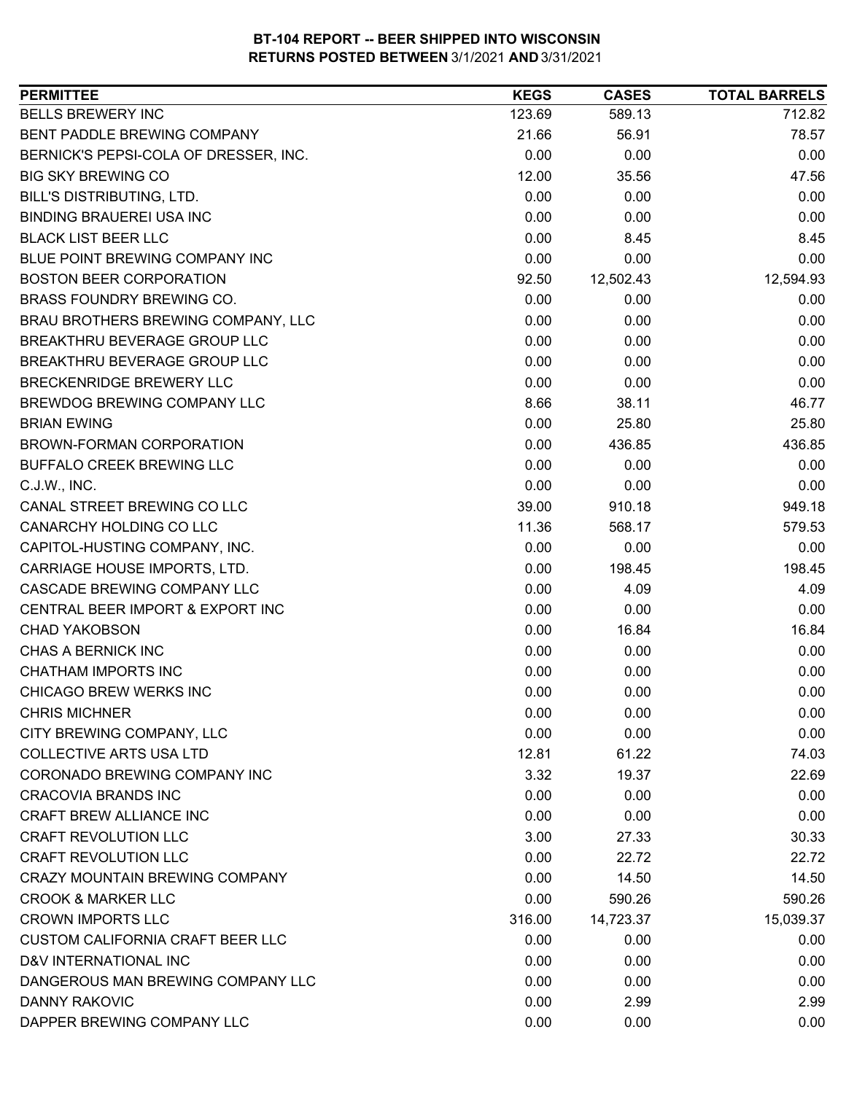| <b>PERMITTEE</b>                        | <b>KEGS</b> | <b>CASES</b> | <b>TOTAL BARRELS</b> |
|-----------------------------------------|-------------|--------------|----------------------|
| <b>BELLS BREWERY INC</b>                | 123.69      | 589.13       | 712.82               |
| BENT PADDLE BREWING COMPANY             | 21.66       | 56.91        | 78.57                |
| BERNICK'S PEPSI-COLA OF DRESSER, INC.   | 0.00        | 0.00         | 0.00                 |
| <b>BIG SKY BREWING CO</b>               | 12.00       | 35.56        | 47.56                |
| BILL'S DISTRIBUTING, LTD.               | 0.00        | 0.00         | 0.00                 |
| <b>BINDING BRAUEREI USA INC</b>         | 0.00        | 0.00         | 0.00                 |
| <b>BLACK LIST BEER LLC</b>              | 0.00        | 8.45         | 8.45                 |
| BLUE POINT BREWING COMPANY INC          | 0.00        | 0.00         | 0.00                 |
| <b>BOSTON BEER CORPORATION</b>          | 92.50       | 12,502.43    | 12,594.93            |
| BRASS FOUNDRY BREWING CO.               | 0.00        | 0.00         | 0.00                 |
| BRAU BROTHERS BREWING COMPANY, LLC      | 0.00        | 0.00         | 0.00                 |
| BREAKTHRU BEVERAGE GROUP LLC            | 0.00        | 0.00         | 0.00                 |
| <b>BREAKTHRU BEVERAGE GROUP LLC</b>     | 0.00        | 0.00         | 0.00                 |
| <b>BRECKENRIDGE BREWERY LLC</b>         | 0.00        | 0.00         | 0.00                 |
| BREWDOG BREWING COMPANY LLC             | 8.66        | 38.11        | 46.77                |
| <b>BRIAN EWING</b>                      | 0.00        | 25.80        | 25.80                |
| BROWN-FORMAN CORPORATION                | 0.00        | 436.85       | 436.85               |
| BUFFALO CREEK BREWING LLC               | 0.00        | 0.00         | 0.00                 |
| C.J.W., INC.                            | 0.00        | 0.00         | 0.00                 |
| CANAL STREET BREWING CO LLC             | 39.00       | 910.18       | 949.18               |
| CANARCHY HOLDING CO LLC                 | 11.36       | 568.17       | 579.53               |
| CAPITOL-HUSTING COMPANY, INC.           | 0.00        | 0.00         | 0.00                 |
| CARRIAGE HOUSE IMPORTS, LTD.            | 0.00        | 198.45       | 198.45               |
| CASCADE BREWING COMPANY LLC             | 0.00        | 4.09         | 4.09                 |
| CENTRAL BEER IMPORT & EXPORT INC        | 0.00        | 0.00         | 0.00                 |
| <b>CHAD YAKOBSON</b>                    | 0.00        | 16.84        | 16.84                |
| <b>CHAS A BERNICK INC</b>               | 0.00        | 0.00         | 0.00                 |
| CHATHAM IMPORTS INC                     | 0.00        | 0.00         | 0.00                 |
| CHICAGO BREW WERKS INC                  | 0.00        | 0.00         | 0.00                 |
| <b>CHRIS MICHNER</b>                    | 0.00        | 0.00         | 0.00                 |
| CITY BREWING COMPANY, LLC               | 0.00        | 0.00         | 0.00                 |
| <b>COLLECTIVE ARTS USA LTD</b>          | 12.81       | 61.22        | 74.03                |
| CORONADO BREWING COMPANY INC            | 3.32        | 19.37        | 22.69                |
| <b>CRACOVIA BRANDS INC</b>              | 0.00        | 0.00         | 0.00                 |
| CRAFT BREW ALLIANCE INC                 | 0.00        | 0.00         | 0.00                 |
| <b>CRAFT REVOLUTION LLC</b>             | 3.00        | 27.33        | 30.33                |
| <b>CRAFT REVOLUTION LLC</b>             | 0.00        | 22.72        | 22.72                |
| <b>CRAZY MOUNTAIN BREWING COMPANY</b>   | 0.00        | 14.50        | 14.50                |
| <b>CROOK &amp; MARKER LLC</b>           | 0.00        | 590.26       | 590.26               |
| <b>CROWN IMPORTS LLC</b>                | 316.00      | 14,723.37    | 15,039.37            |
| <b>CUSTOM CALIFORNIA CRAFT BEER LLC</b> | 0.00        | 0.00         | 0.00                 |
| D&V INTERNATIONAL INC                   | 0.00        | 0.00         | 0.00                 |
| DANGEROUS MAN BREWING COMPANY LLC       | 0.00        | 0.00         | 0.00                 |
| <b>DANNY RAKOVIC</b>                    | 0.00        | 2.99         | 2.99                 |
| DAPPER BREWING COMPANY LLC              | 0.00        | 0.00         | 0.00                 |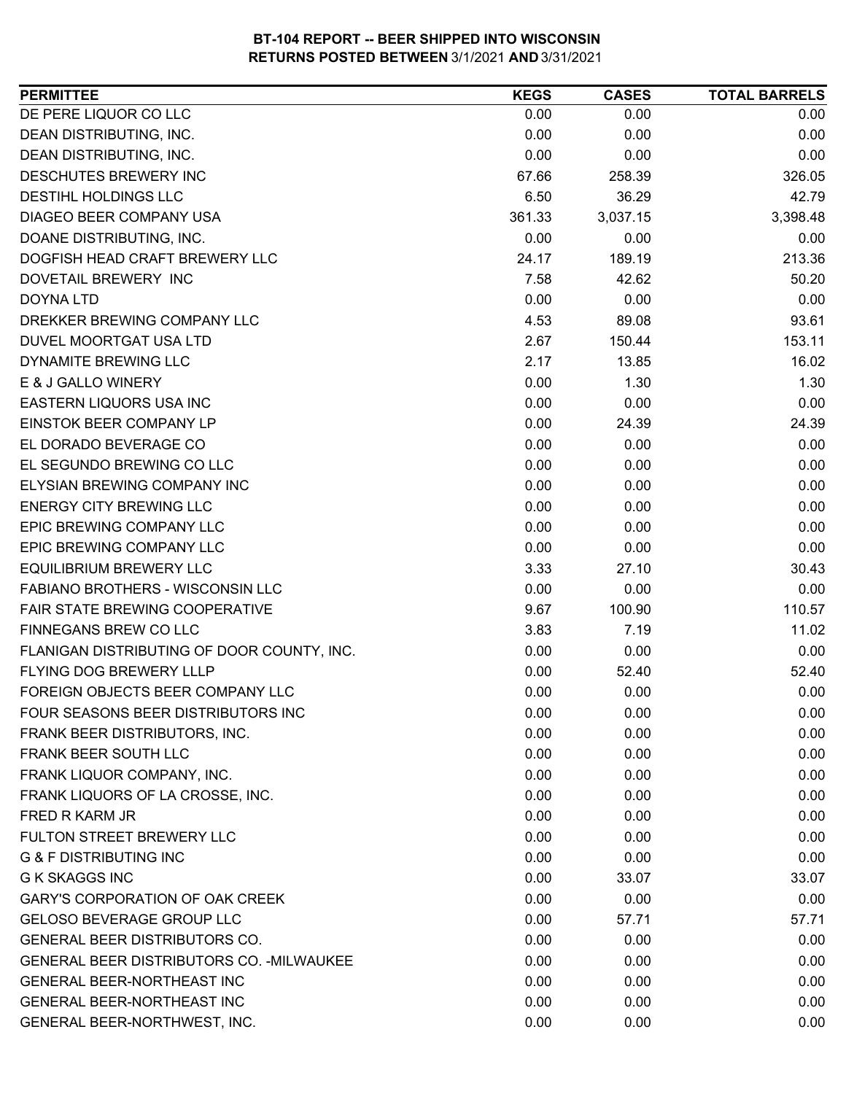| <b>PERMITTEE</b>                                 | <b>KEGS</b> | <b>CASES</b> | <b>TOTAL BARRELS</b> |
|--------------------------------------------------|-------------|--------------|----------------------|
| DE PERE LIQUOR CO LLC                            | 0.00        | 0.00         | 0.00                 |
| DEAN DISTRIBUTING, INC.                          | 0.00        | 0.00         | 0.00                 |
| <b>DEAN DISTRIBUTING, INC.</b>                   | 0.00        | 0.00         | 0.00                 |
| DESCHUTES BREWERY INC                            | 67.66       | 258.39       | 326.05               |
| DESTIHL HOLDINGS LLC                             | 6.50        | 36.29        | 42.79                |
| DIAGEO BEER COMPANY USA                          | 361.33      | 3,037.15     | 3,398.48             |
| DOANE DISTRIBUTING, INC.                         | 0.00        | 0.00         | 0.00                 |
| DOGFISH HEAD CRAFT BREWERY LLC                   | 24.17       | 189.19       | 213.36               |
| DOVETAIL BREWERY INC                             | 7.58        | 42.62        | 50.20                |
| <b>DOYNA LTD</b>                                 | 0.00        | 0.00         | 0.00                 |
| DREKKER BREWING COMPANY LLC                      | 4.53        | 89.08        | 93.61                |
| DUVEL MOORTGAT USA LTD                           | 2.67        | 150.44       | 153.11               |
| DYNAMITE BREWING LLC                             | 2.17        | 13.85        | 16.02                |
| E & J GALLO WINERY                               | 0.00        | 1.30         | 1.30                 |
| EASTERN LIQUORS USA INC                          | 0.00        | 0.00         | 0.00                 |
| EINSTOK BEER COMPANY LP                          | 0.00        | 24.39        | 24.39                |
| EL DORADO BEVERAGE CO                            | 0.00        | 0.00         | 0.00                 |
| EL SEGUNDO BREWING CO LLC                        | 0.00        | 0.00         | 0.00                 |
| ELYSIAN BREWING COMPANY INC                      | 0.00        | 0.00         | 0.00                 |
| <b>ENERGY CITY BREWING LLC</b>                   | 0.00        | 0.00         | 0.00                 |
| EPIC BREWING COMPANY LLC                         | 0.00        | 0.00         | 0.00                 |
| EPIC BREWING COMPANY LLC                         | 0.00        | 0.00         | 0.00                 |
| <b>EQUILIBRIUM BREWERY LLC</b>                   | 3.33        | 27.10        | 30.43                |
| FABIANO BROTHERS - WISCONSIN LLC                 | 0.00        | 0.00         | 0.00                 |
| FAIR STATE BREWING COOPERATIVE                   | 9.67        | 100.90       | 110.57               |
| FINNEGANS BREW CO LLC                            | 3.83        | 7.19         | 11.02                |
| FLANIGAN DISTRIBUTING OF DOOR COUNTY, INC.       | 0.00        | 0.00         | 0.00                 |
| <b>FLYING DOG BREWERY LLLP</b>                   | 0.00        | 52.40        | 52.40                |
| FOREIGN OBJECTS BEER COMPANY LLC                 | 0.00        | 0.00         | 0.00                 |
| FOUR SEASONS BEER DISTRIBUTORS INC               | 0.00        | 0.00         | 0.00                 |
| FRANK BEER DISTRIBUTORS, INC.                    | 0.00        | 0.00         | 0.00                 |
| FRANK BEER SOUTH LLC                             | 0.00        | 0.00         | 0.00                 |
| FRANK LIQUOR COMPANY, INC.                       | 0.00        | 0.00         | 0.00                 |
| FRANK LIQUORS OF LA CROSSE, INC.                 | 0.00        | 0.00         | 0.00                 |
| <b>FRED R KARM JR</b>                            | 0.00        | 0.00         | 0.00                 |
| FULTON STREET BREWERY LLC                        | 0.00        | 0.00         | 0.00                 |
| <b>G &amp; F DISTRIBUTING INC</b>                | 0.00        | 0.00         | 0.00                 |
| <b>G K SKAGGS INC</b>                            | 0.00        | 33.07        | 33.07                |
| <b>GARY'S CORPORATION OF OAK CREEK</b>           | 0.00        | 0.00         | 0.00                 |
| <b>GELOSO BEVERAGE GROUP LLC</b>                 | 0.00        | 57.71        | 57.71                |
| <b>GENERAL BEER DISTRIBUTORS CO.</b>             | 0.00        | 0.00         | 0.00                 |
| <b>GENERAL BEER DISTRIBUTORS CO. - MILWAUKEE</b> | 0.00        | 0.00         | 0.00                 |
| <b>GENERAL BEER-NORTHEAST INC</b>                | 0.00        | 0.00         | 0.00                 |
| <b>GENERAL BEER-NORTHEAST INC</b>                | 0.00        | 0.00         | 0.00                 |
| GENERAL BEER-NORTHWEST, INC.                     | 0.00        | 0.00         | 0.00                 |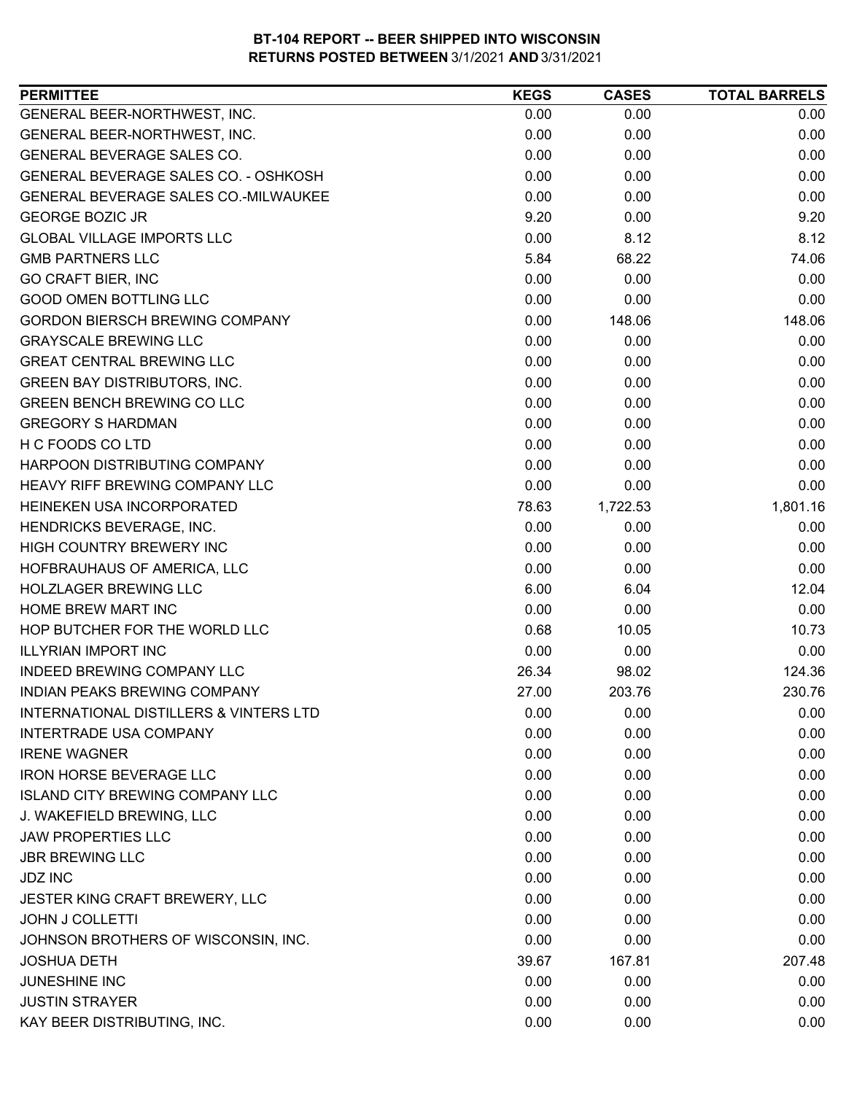| <b>PERMITTEE</b>                                  | <b>KEGS</b> | <b>CASES</b> | <b>TOTAL BARRELS</b> |
|---------------------------------------------------|-------------|--------------|----------------------|
| GENERAL BEER-NORTHWEST, INC.                      | 0.00        | 0.00         | 0.00                 |
| GENERAL BEER-NORTHWEST, INC.                      | 0.00        | 0.00         | 0.00                 |
| GENERAL BEVERAGE SALES CO.                        | 0.00        | 0.00         | 0.00                 |
| GENERAL BEVERAGE SALES CO. - OSHKOSH              | 0.00        | 0.00         | 0.00                 |
| GENERAL BEVERAGE SALES CO.-MILWAUKEE              | 0.00        | 0.00         | 0.00                 |
| <b>GEORGE BOZIC JR</b>                            | 9.20        | 0.00         | 9.20                 |
| <b>GLOBAL VILLAGE IMPORTS LLC</b>                 | 0.00        | 8.12         | 8.12                 |
| <b>GMB PARTNERS LLC</b>                           | 5.84        | 68.22        | 74.06                |
| <b>GO CRAFT BIER, INC</b>                         | 0.00        | 0.00         | 0.00                 |
| <b>GOOD OMEN BOTTLING LLC</b>                     | 0.00        | 0.00         | 0.00                 |
| <b>GORDON BIERSCH BREWING COMPANY</b>             | 0.00        | 148.06       | 148.06               |
| <b>GRAYSCALE BREWING LLC</b>                      | 0.00        | 0.00         | 0.00                 |
| <b>GREAT CENTRAL BREWING LLC</b>                  | 0.00        | 0.00         | 0.00                 |
| <b>GREEN BAY DISTRIBUTORS, INC.</b>               | 0.00        | 0.00         | 0.00                 |
| <b>GREEN BENCH BREWING CO LLC</b>                 | 0.00        | 0.00         | 0.00                 |
| <b>GREGORY S HARDMAN</b>                          | 0.00        | 0.00         | 0.00                 |
| H C FOODS CO LTD                                  | 0.00        | 0.00         | 0.00                 |
| HARPOON DISTRIBUTING COMPANY                      | 0.00        | 0.00         | 0.00                 |
| HEAVY RIFF BREWING COMPANY LLC                    | 0.00        | 0.00         | 0.00                 |
| HEINEKEN USA INCORPORATED                         | 78.63       | 1,722.53     | 1,801.16             |
| HENDRICKS BEVERAGE, INC.                          | 0.00        | 0.00         | 0.00                 |
| HIGH COUNTRY BREWERY INC                          | 0.00        | 0.00         | 0.00                 |
| HOFBRAUHAUS OF AMERICA, LLC                       | 0.00        | 0.00         | 0.00                 |
| <b>HOLZLAGER BREWING LLC</b>                      | 6.00        | 6.04         | 12.04                |
| HOME BREW MART INC                                | 0.00        | 0.00         | 0.00                 |
| HOP BUTCHER FOR THE WORLD LLC                     | 0.68        | 10.05        | 10.73                |
| <b>ILLYRIAN IMPORT INC</b>                        | 0.00        | 0.00         | 0.00                 |
| <b>INDEED BREWING COMPANY LLC</b>                 | 26.34       | 98.02        | 124.36               |
| <b>INDIAN PEAKS BREWING COMPANY</b>               | 27.00       | 203.76       | 230.76               |
| <b>INTERNATIONAL DISTILLERS &amp; VINTERS LTD</b> | 0.00        | 0.00         | 0.00                 |
| <b>INTERTRADE USA COMPANY</b>                     | 0.00        | 0.00         | 0.00                 |
| <b>IRENE WAGNER</b>                               | 0.00        | 0.00         | 0.00                 |
| <b>IRON HORSE BEVERAGE LLC</b>                    | 0.00        | 0.00         | 0.00                 |
| <b>ISLAND CITY BREWING COMPANY LLC</b>            | 0.00        | 0.00         | 0.00                 |
| J. WAKEFIELD BREWING, LLC                         | 0.00        | 0.00         | 0.00                 |
| <b>JAW PROPERTIES LLC</b>                         | 0.00        | 0.00         | 0.00                 |
| <b>JBR BREWING LLC</b>                            | 0.00        | 0.00         | 0.00                 |
| <b>JDZ INC</b>                                    | 0.00        | 0.00         | 0.00                 |
| JESTER KING CRAFT BREWERY, LLC                    | 0.00        | 0.00         | 0.00                 |
| <b>JOHN J COLLETTI</b>                            | 0.00        | 0.00         | 0.00                 |
| JOHNSON BROTHERS OF WISCONSIN, INC.               | 0.00        | 0.00         | 0.00                 |
| <b>JOSHUA DETH</b>                                | 39.67       | 167.81       | 207.48               |
| JUNESHINE INC                                     | 0.00        | 0.00         | 0.00                 |
| <b>JUSTIN STRAYER</b>                             | 0.00        | 0.00         | 0.00                 |
| KAY BEER DISTRIBUTING, INC.                       | 0.00        | 0.00         | 0.00                 |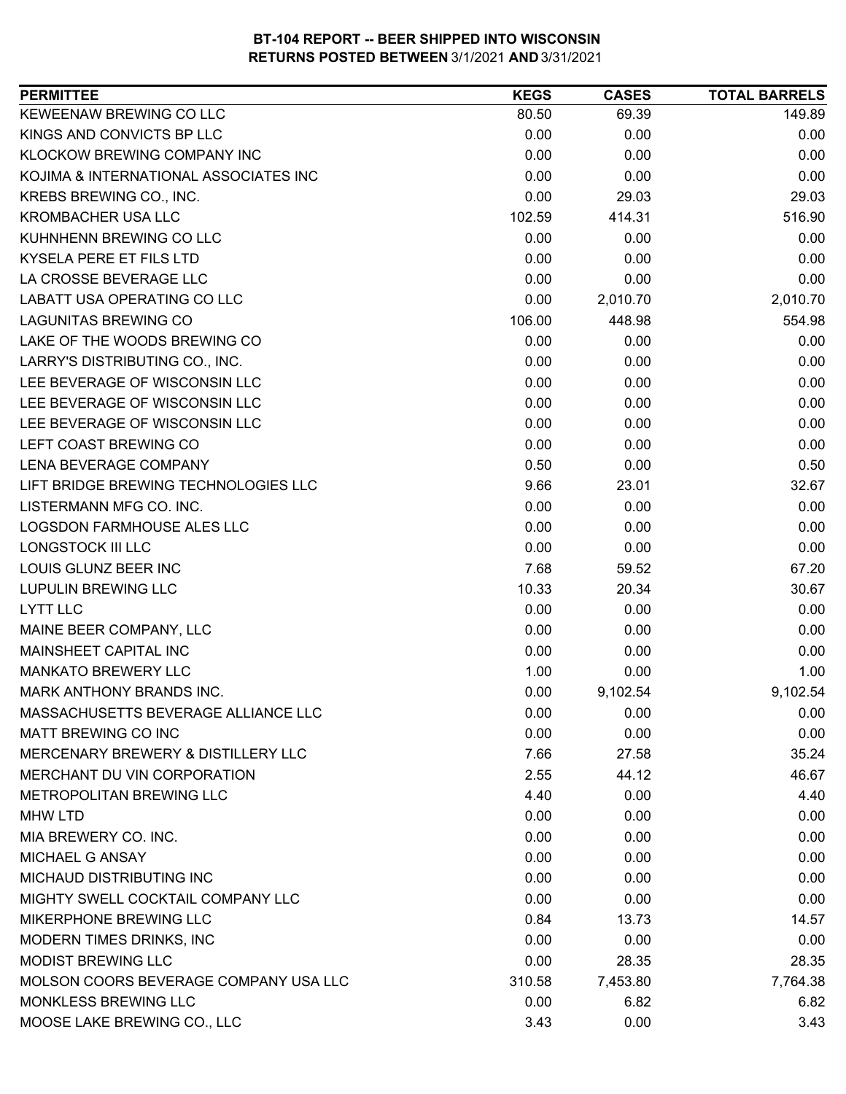| KEWEENAW BREWING CO LLC<br>149.89<br>80.50<br>69.39<br>KINGS AND CONVICTS BP LLC<br>0.00<br>0.00<br>0.00<br>KLOCKOW BREWING COMPANY INC<br>0.00<br>0.00<br>0.00<br>KOJIMA & INTERNATIONAL ASSOCIATES INC<br>0.00<br>0.00<br>0.00<br>KREBS BREWING CO., INC.<br>0.00<br>29.03<br>29.03<br><b>KROMBACHER USA LLC</b><br>102.59<br>516.90<br>414.31<br>KUHNHENN BREWING CO LLC<br>0.00<br>0.00<br>0.00<br>KYSELA PERE ET FILS LTD<br>0.00<br>0.00<br>0.00<br>0.00<br>LA CROSSE BEVERAGE LLC<br>0.00<br>0.00<br>LABATT USA OPERATING CO LLC<br>0.00<br>2,010.70<br>2,010.70<br><b>LAGUNITAS BREWING CO</b><br>106.00<br>448.98<br>554.98<br>LAKE OF THE WOODS BREWING CO<br>0.00<br>0.00<br>0.00<br>LARRY'S DISTRIBUTING CO., INC.<br>0.00<br>0.00<br>0.00<br>LEE BEVERAGE OF WISCONSIN LLC<br>0.00<br>0.00<br>0.00<br>LEE BEVERAGE OF WISCONSIN LLC<br>0.00<br>0.00<br>0.00<br>LEE BEVERAGE OF WISCONSIN LLC<br>0.00<br>0.00<br>0.00<br>0.00<br>LEFT COAST BREWING CO<br>0.00<br>0.00<br><b>LENA BEVERAGE COMPANY</b><br>0.50<br>0.50<br>0.00<br>LIFT BRIDGE BREWING TECHNOLOGIES LLC<br>9.66<br>23.01<br>32.67<br>LISTERMANN MFG CO. INC.<br>0.00<br>0.00<br>0.00<br>0.00<br>LOGSDON FARMHOUSE ALES LLC<br>0.00<br>0.00<br><b>LONGSTOCK III LLC</b><br>0.00<br>0.00<br>0.00<br>LOUIS GLUNZ BEER INC<br>7.68<br>67.20<br>59.52<br><b>LUPULIN BREWING LLC</b><br>10.33<br>20.34<br>30.67<br>0.00<br>0.00<br>0.00<br><b>LYTT LLC</b><br>MAINE BEER COMPANY, LLC<br>0.00<br>0.00<br>0.00<br>MAINSHEET CAPITAL INC<br>0.00<br>0.00<br>0.00<br><b>MANKATO BREWERY LLC</b><br>1.00<br>0.00<br>1.00<br>0.00<br>MARK ANTHONY BRANDS INC.<br>9,102.54<br>9,102.54<br>MASSACHUSETTS BEVERAGE ALLIANCE LLC<br>0.00<br>0.00<br>0.00<br>0.00<br><b>MATT BREWING CO INC</b><br>0.00<br>0.00<br>MERCENARY BREWERY & DISTILLERY LLC<br>7.66<br>27.58<br>35.24<br>MERCHANT DU VIN CORPORATION<br>2.55<br>46.67<br>44.12<br><b>METROPOLITAN BREWING LLC</b><br>4.40<br>0.00<br>4.40<br>0.00<br>0.00<br>0.00<br><b>MHW LTD</b><br>0.00<br>MIA BREWERY CO. INC.<br>0.00<br>0.00<br>MICHAEL G ANSAY<br>0.00<br>0.00<br>0.00<br>MICHAUD DISTRIBUTING INC<br>0.00<br>0.00<br>0.00<br>MIGHTY SWELL COCKTAIL COMPANY LLC<br>0.00<br>0.00<br>0.00<br>MIKERPHONE BREWING LLC<br>0.84<br>13.73<br>14.57<br>MODERN TIMES DRINKS, INC<br>0.00<br>0.00<br>0.00<br><b>MODIST BREWING LLC</b><br>0.00<br>28.35<br>28.35<br>MOLSON COORS BEVERAGE COMPANY USA LLC<br>310.58<br>7,453.80<br>7,764.38<br>MONKLESS BREWING LLC<br>0.00<br>6.82<br>6.82 | <b>PERMITTEE</b>            | <b>KEGS</b> | <b>CASES</b> | <b>TOTAL BARRELS</b> |
|----------------------------------------------------------------------------------------------------------------------------------------------------------------------------------------------------------------------------------------------------------------------------------------------------------------------------------------------------------------------------------------------------------------------------------------------------------------------------------------------------------------------------------------------------------------------------------------------------------------------------------------------------------------------------------------------------------------------------------------------------------------------------------------------------------------------------------------------------------------------------------------------------------------------------------------------------------------------------------------------------------------------------------------------------------------------------------------------------------------------------------------------------------------------------------------------------------------------------------------------------------------------------------------------------------------------------------------------------------------------------------------------------------------------------------------------------------------------------------------------------------------------------------------------------------------------------------------------------------------------------------------------------------------------------------------------------------------------------------------------------------------------------------------------------------------------------------------------------------------------------------------------------------------------------------------------------------------------------------------------------------------------------------------------------------------------------------------------------------------------------------------------------------------------------------------------------------------------------------------------------------------------------------------------------------------------------------------------------------------------------------------------------------------------------------------------------------------------------------------------------------------|-----------------------------|-------------|--------------|----------------------|
|                                                                                                                                                                                                                                                                                                                                                                                                                                                                                                                                                                                                                                                                                                                                                                                                                                                                                                                                                                                                                                                                                                                                                                                                                                                                                                                                                                                                                                                                                                                                                                                                                                                                                                                                                                                                                                                                                                                                                                                                                                                                                                                                                                                                                                                                                                                                                                                                                                                                                                                |                             |             |              |                      |
|                                                                                                                                                                                                                                                                                                                                                                                                                                                                                                                                                                                                                                                                                                                                                                                                                                                                                                                                                                                                                                                                                                                                                                                                                                                                                                                                                                                                                                                                                                                                                                                                                                                                                                                                                                                                                                                                                                                                                                                                                                                                                                                                                                                                                                                                                                                                                                                                                                                                                                                |                             |             |              |                      |
|                                                                                                                                                                                                                                                                                                                                                                                                                                                                                                                                                                                                                                                                                                                                                                                                                                                                                                                                                                                                                                                                                                                                                                                                                                                                                                                                                                                                                                                                                                                                                                                                                                                                                                                                                                                                                                                                                                                                                                                                                                                                                                                                                                                                                                                                                                                                                                                                                                                                                                                |                             |             |              |                      |
|                                                                                                                                                                                                                                                                                                                                                                                                                                                                                                                                                                                                                                                                                                                                                                                                                                                                                                                                                                                                                                                                                                                                                                                                                                                                                                                                                                                                                                                                                                                                                                                                                                                                                                                                                                                                                                                                                                                                                                                                                                                                                                                                                                                                                                                                                                                                                                                                                                                                                                                |                             |             |              |                      |
|                                                                                                                                                                                                                                                                                                                                                                                                                                                                                                                                                                                                                                                                                                                                                                                                                                                                                                                                                                                                                                                                                                                                                                                                                                                                                                                                                                                                                                                                                                                                                                                                                                                                                                                                                                                                                                                                                                                                                                                                                                                                                                                                                                                                                                                                                                                                                                                                                                                                                                                |                             |             |              |                      |
|                                                                                                                                                                                                                                                                                                                                                                                                                                                                                                                                                                                                                                                                                                                                                                                                                                                                                                                                                                                                                                                                                                                                                                                                                                                                                                                                                                                                                                                                                                                                                                                                                                                                                                                                                                                                                                                                                                                                                                                                                                                                                                                                                                                                                                                                                                                                                                                                                                                                                                                |                             |             |              |                      |
|                                                                                                                                                                                                                                                                                                                                                                                                                                                                                                                                                                                                                                                                                                                                                                                                                                                                                                                                                                                                                                                                                                                                                                                                                                                                                                                                                                                                                                                                                                                                                                                                                                                                                                                                                                                                                                                                                                                                                                                                                                                                                                                                                                                                                                                                                                                                                                                                                                                                                                                |                             |             |              |                      |
|                                                                                                                                                                                                                                                                                                                                                                                                                                                                                                                                                                                                                                                                                                                                                                                                                                                                                                                                                                                                                                                                                                                                                                                                                                                                                                                                                                                                                                                                                                                                                                                                                                                                                                                                                                                                                                                                                                                                                                                                                                                                                                                                                                                                                                                                                                                                                                                                                                                                                                                |                             |             |              |                      |
|                                                                                                                                                                                                                                                                                                                                                                                                                                                                                                                                                                                                                                                                                                                                                                                                                                                                                                                                                                                                                                                                                                                                                                                                                                                                                                                                                                                                                                                                                                                                                                                                                                                                                                                                                                                                                                                                                                                                                                                                                                                                                                                                                                                                                                                                                                                                                                                                                                                                                                                |                             |             |              |                      |
|                                                                                                                                                                                                                                                                                                                                                                                                                                                                                                                                                                                                                                                                                                                                                                                                                                                                                                                                                                                                                                                                                                                                                                                                                                                                                                                                                                                                                                                                                                                                                                                                                                                                                                                                                                                                                                                                                                                                                                                                                                                                                                                                                                                                                                                                                                                                                                                                                                                                                                                |                             |             |              |                      |
|                                                                                                                                                                                                                                                                                                                                                                                                                                                                                                                                                                                                                                                                                                                                                                                                                                                                                                                                                                                                                                                                                                                                                                                                                                                                                                                                                                                                                                                                                                                                                                                                                                                                                                                                                                                                                                                                                                                                                                                                                                                                                                                                                                                                                                                                                                                                                                                                                                                                                                                |                             |             |              |                      |
|                                                                                                                                                                                                                                                                                                                                                                                                                                                                                                                                                                                                                                                                                                                                                                                                                                                                                                                                                                                                                                                                                                                                                                                                                                                                                                                                                                                                                                                                                                                                                                                                                                                                                                                                                                                                                                                                                                                                                                                                                                                                                                                                                                                                                                                                                                                                                                                                                                                                                                                |                             |             |              |                      |
|                                                                                                                                                                                                                                                                                                                                                                                                                                                                                                                                                                                                                                                                                                                                                                                                                                                                                                                                                                                                                                                                                                                                                                                                                                                                                                                                                                                                                                                                                                                                                                                                                                                                                                                                                                                                                                                                                                                                                                                                                                                                                                                                                                                                                                                                                                                                                                                                                                                                                                                |                             |             |              |                      |
|                                                                                                                                                                                                                                                                                                                                                                                                                                                                                                                                                                                                                                                                                                                                                                                                                                                                                                                                                                                                                                                                                                                                                                                                                                                                                                                                                                                                                                                                                                                                                                                                                                                                                                                                                                                                                                                                                                                                                                                                                                                                                                                                                                                                                                                                                                                                                                                                                                                                                                                |                             |             |              |                      |
|                                                                                                                                                                                                                                                                                                                                                                                                                                                                                                                                                                                                                                                                                                                                                                                                                                                                                                                                                                                                                                                                                                                                                                                                                                                                                                                                                                                                                                                                                                                                                                                                                                                                                                                                                                                                                                                                                                                                                                                                                                                                                                                                                                                                                                                                                                                                                                                                                                                                                                                |                             |             |              |                      |
|                                                                                                                                                                                                                                                                                                                                                                                                                                                                                                                                                                                                                                                                                                                                                                                                                                                                                                                                                                                                                                                                                                                                                                                                                                                                                                                                                                                                                                                                                                                                                                                                                                                                                                                                                                                                                                                                                                                                                                                                                                                                                                                                                                                                                                                                                                                                                                                                                                                                                                                |                             |             |              |                      |
|                                                                                                                                                                                                                                                                                                                                                                                                                                                                                                                                                                                                                                                                                                                                                                                                                                                                                                                                                                                                                                                                                                                                                                                                                                                                                                                                                                                                                                                                                                                                                                                                                                                                                                                                                                                                                                                                                                                                                                                                                                                                                                                                                                                                                                                                                                                                                                                                                                                                                                                |                             |             |              |                      |
|                                                                                                                                                                                                                                                                                                                                                                                                                                                                                                                                                                                                                                                                                                                                                                                                                                                                                                                                                                                                                                                                                                                                                                                                                                                                                                                                                                                                                                                                                                                                                                                                                                                                                                                                                                                                                                                                                                                                                                                                                                                                                                                                                                                                                                                                                                                                                                                                                                                                                                                |                             |             |              |                      |
|                                                                                                                                                                                                                                                                                                                                                                                                                                                                                                                                                                                                                                                                                                                                                                                                                                                                                                                                                                                                                                                                                                                                                                                                                                                                                                                                                                                                                                                                                                                                                                                                                                                                                                                                                                                                                                                                                                                                                                                                                                                                                                                                                                                                                                                                                                                                                                                                                                                                                                                |                             |             |              |                      |
|                                                                                                                                                                                                                                                                                                                                                                                                                                                                                                                                                                                                                                                                                                                                                                                                                                                                                                                                                                                                                                                                                                                                                                                                                                                                                                                                                                                                                                                                                                                                                                                                                                                                                                                                                                                                                                                                                                                                                                                                                                                                                                                                                                                                                                                                                                                                                                                                                                                                                                                |                             |             |              |                      |
|                                                                                                                                                                                                                                                                                                                                                                                                                                                                                                                                                                                                                                                                                                                                                                                                                                                                                                                                                                                                                                                                                                                                                                                                                                                                                                                                                                                                                                                                                                                                                                                                                                                                                                                                                                                                                                                                                                                                                                                                                                                                                                                                                                                                                                                                                                                                                                                                                                                                                                                |                             |             |              |                      |
|                                                                                                                                                                                                                                                                                                                                                                                                                                                                                                                                                                                                                                                                                                                                                                                                                                                                                                                                                                                                                                                                                                                                                                                                                                                                                                                                                                                                                                                                                                                                                                                                                                                                                                                                                                                                                                                                                                                                                                                                                                                                                                                                                                                                                                                                                                                                                                                                                                                                                                                |                             |             |              |                      |
|                                                                                                                                                                                                                                                                                                                                                                                                                                                                                                                                                                                                                                                                                                                                                                                                                                                                                                                                                                                                                                                                                                                                                                                                                                                                                                                                                                                                                                                                                                                                                                                                                                                                                                                                                                                                                                                                                                                                                                                                                                                                                                                                                                                                                                                                                                                                                                                                                                                                                                                |                             |             |              |                      |
|                                                                                                                                                                                                                                                                                                                                                                                                                                                                                                                                                                                                                                                                                                                                                                                                                                                                                                                                                                                                                                                                                                                                                                                                                                                                                                                                                                                                                                                                                                                                                                                                                                                                                                                                                                                                                                                                                                                                                                                                                                                                                                                                                                                                                                                                                                                                                                                                                                                                                                                |                             |             |              |                      |
|                                                                                                                                                                                                                                                                                                                                                                                                                                                                                                                                                                                                                                                                                                                                                                                                                                                                                                                                                                                                                                                                                                                                                                                                                                                                                                                                                                                                                                                                                                                                                                                                                                                                                                                                                                                                                                                                                                                                                                                                                                                                                                                                                                                                                                                                                                                                                                                                                                                                                                                |                             |             |              |                      |
|                                                                                                                                                                                                                                                                                                                                                                                                                                                                                                                                                                                                                                                                                                                                                                                                                                                                                                                                                                                                                                                                                                                                                                                                                                                                                                                                                                                                                                                                                                                                                                                                                                                                                                                                                                                                                                                                                                                                                                                                                                                                                                                                                                                                                                                                                                                                                                                                                                                                                                                |                             |             |              |                      |
|                                                                                                                                                                                                                                                                                                                                                                                                                                                                                                                                                                                                                                                                                                                                                                                                                                                                                                                                                                                                                                                                                                                                                                                                                                                                                                                                                                                                                                                                                                                                                                                                                                                                                                                                                                                                                                                                                                                                                                                                                                                                                                                                                                                                                                                                                                                                                                                                                                                                                                                |                             |             |              |                      |
|                                                                                                                                                                                                                                                                                                                                                                                                                                                                                                                                                                                                                                                                                                                                                                                                                                                                                                                                                                                                                                                                                                                                                                                                                                                                                                                                                                                                                                                                                                                                                                                                                                                                                                                                                                                                                                                                                                                                                                                                                                                                                                                                                                                                                                                                                                                                                                                                                                                                                                                |                             |             |              |                      |
|                                                                                                                                                                                                                                                                                                                                                                                                                                                                                                                                                                                                                                                                                                                                                                                                                                                                                                                                                                                                                                                                                                                                                                                                                                                                                                                                                                                                                                                                                                                                                                                                                                                                                                                                                                                                                                                                                                                                                                                                                                                                                                                                                                                                                                                                                                                                                                                                                                                                                                                |                             |             |              |                      |
|                                                                                                                                                                                                                                                                                                                                                                                                                                                                                                                                                                                                                                                                                                                                                                                                                                                                                                                                                                                                                                                                                                                                                                                                                                                                                                                                                                                                                                                                                                                                                                                                                                                                                                                                                                                                                                                                                                                                                                                                                                                                                                                                                                                                                                                                                                                                                                                                                                                                                                                |                             |             |              |                      |
|                                                                                                                                                                                                                                                                                                                                                                                                                                                                                                                                                                                                                                                                                                                                                                                                                                                                                                                                                                                                                                                                                                                                                                                                                                                                                                                                                                                                                                                                                                                                                                                                                                                                                                                                                                                                                                                                                                                                                                                                                                                                                                                                                                                                                                                                                                                                                                                                                                                                                                                |                             |             |              |                      |
|                                                                                                                                                                                                                                                                                                                                                                                                                                                                                                                                                                                                                                                                                                                                                                                                                                                                                                                                                                                                                                                                                                                                                                                                                                                                                                                                                                                                                                                                                                                                                                                                                                                                                                                                                                                                                                                                                                                                                                                                                                                                                                                                                                                                                                                                                                                                                                                                                                                                                                                |                             |             |              |                      |
|                                                                                                                                                                                                                                                                                                                                                                                                                                                                                                                                                                                                                                                                                                                                                                                                                                                                                                                                                                                                                                                                                                                                                                                                                                                                                                                                                                                                                                                                                                                                                                                                                                                                                                                                                                                                                                                                                                                                                                                                                                                                                                                                                                                                                                                                                                                                                                                                                                                                                                                |                             |             |              |                      |
|                                                                                                                                                                                                                                                                                                                                                                                                                                                                                                                                                                                                                                                                                                                                                                                                                                                                                                                                                                                                                                                                                                                                                                                                                                                                                                                                                                                                                                                                                                                                                                                                                                                                                                                                                                                                                                                                                                                                                                                                                                                                                                                                                                                                                                                                                                                                                                                                                                                                                                                |                             |             |              |                      |
|                                                                                                                                                                                                                                                                                                                                                                                                                                                                                                                                                                                                                                                                                                                                                                                                                                                                                                                                                                                                                                                                                                                                                                                                                                                                                                                                                                                                                                                                                                                                                                                                                                                                                                                                                                                                                                                                                                                                                                                                                                                                                                                                                                                                                                                                                                                                                                                                                                                                                                                |                             |             |              |                      |
|                                                                                                                                                                                                                                                                                                                                                                                                                                                                                                                                                                                                                                                                                                                                                                                                                                                                                                                                                                                                                                                                                                                                                                                                                                                                                                                                                                                                                                                                                                                                                                                                                                                                                                                                                                                                                                                                                                                                                                                                                                                                                                                                                                                                                                                                                                                                                                                                                                                                                                                |                             |             |              |                      |
|                                                                                                                                                                                                                                                                                                                                                                                                                                                                                                                                                                                                                                                                                                                                                                                                                                                                                                                                                                                                                                                                                                                                                                                                                                                                                                                                                                                                                                                                                                                                                                                                                                                                                                                                                                                                                                                                                                                                                                                                                                                                                                                                                                                                                                                                                                                                                                                                                                                                                                                |                             |             |              |                      |
|                                                                                                                                                                                                                                                                                                                                                                                                                                                                                                                                                                                                                                                                                                                                                                                                                                                                                                                                                                                                                                                                                                                                                                                                                                                                                                                                                                                                                                                                                                                                                                                                                                                                                                                                                                                                                                                                                                                                                                                                                                                                                                                                                                                                                                                                                                                                                                                                                                                                                                                |                             |             |              |                      |
|                                                                                                                                                                                                                                                                                                                                                                                                                                                                                                                                                                                                                                                                                                                                                                                                                                                                                                                                                                                                                                                                                                                                                                                                                                                                                                                                                                                                                                                                                                                                                                                                                                                                                                                                                                                                                                                                                                                                                                                                                                                                                                                                                                                                                                                                                                                                                                                                                                                                                                                |                             |             |              |                      |
|                                                                                                                                                                                                                                                                                                                                                                                                                                                                                                                                                                                                                                                                                                                                                                                                                                                                                                                                                                                                                                                                                                                                                                                                                                                                                                                                                                                                                                                                                                                                                                                                                                                                                                                                                                                                                                                                                                                                                                                                                                                                                                                                                                                                                                                                                                                                                                                                                                                                                                                |                             |             |              |                      |
|                                                                                                                                                                                                                                                                                                                                                                                                                                                                                                                                                                                                                                                                                                                                                                                                                                                                                                                                                                                                                                                                                                                                                                                                                                                                                                                                                                                                                                                                                                                                                                                                                                                                                                                                                                                                                                                                                                                                                                                                                                                                                                                                                                                                                                                                                                                                                                                                                                                                                                                |                             |             |              |                      |
|                                                                                                                                                                                                                                                                                                                                                                                                                                                                                                                                                                                                                                                                                                                                                                                                                                                                                                                                                                                                                                                                                                                                                                                                                                                                                                                                                                                                                                                                                                                                                                                                                                                                                                                                                                                                                                                                                                                                                                                                                                                                                                                                                                                                                                                                                                                                                                                                                                                                                                                |                             |             |              |                      |
|                                                                                                                                                                                                                                                                                                                                                                                                                                                                                                                                                                                                                                                                                                                                                                                                                                                                                                                                                                                                                                                                                                                                                                                                                                                                                                                                                                                                                                                                                                                                                                                                                                                                                                                                                                                                                                                                                                                                                                                                                                                                                                                                                                                                                                                                                                                                                                                                                                                                                                                |                             |             |              |                      |
|                                                                                                                                                                                                                                                                                                                                                                                                                                                                                                                                                                                                                                                                                                                                                                                                                                                                                                                                                                                                                                                                                                                                                                                                                                                                                                                                                                                                                                                                                                                                                                                                                                                                                                                                                                                                                                                                                                                                                                                                                                                                                                                                                                                                                                                                                                                                                                                                                                                                                                                |                             |             |              |                      |
|                                                                                                                                                                                                                                                                                                                                                                                                                                                                                                                                                                                                                                                                                                                                                                                                                                                                                                                                                                                                                                                                                                                                                                                                                                                                                                                                                                                                                                                                                                                                                                                                                                                                                                                                                                                                                                                                                                                                                                                                                                                                                                                                                                                                                                                                                                                                                                                                                                                                                                                | MOOSE LAKE BREWING CO., LLC | 3.43        | 0.00         | 3.43                 |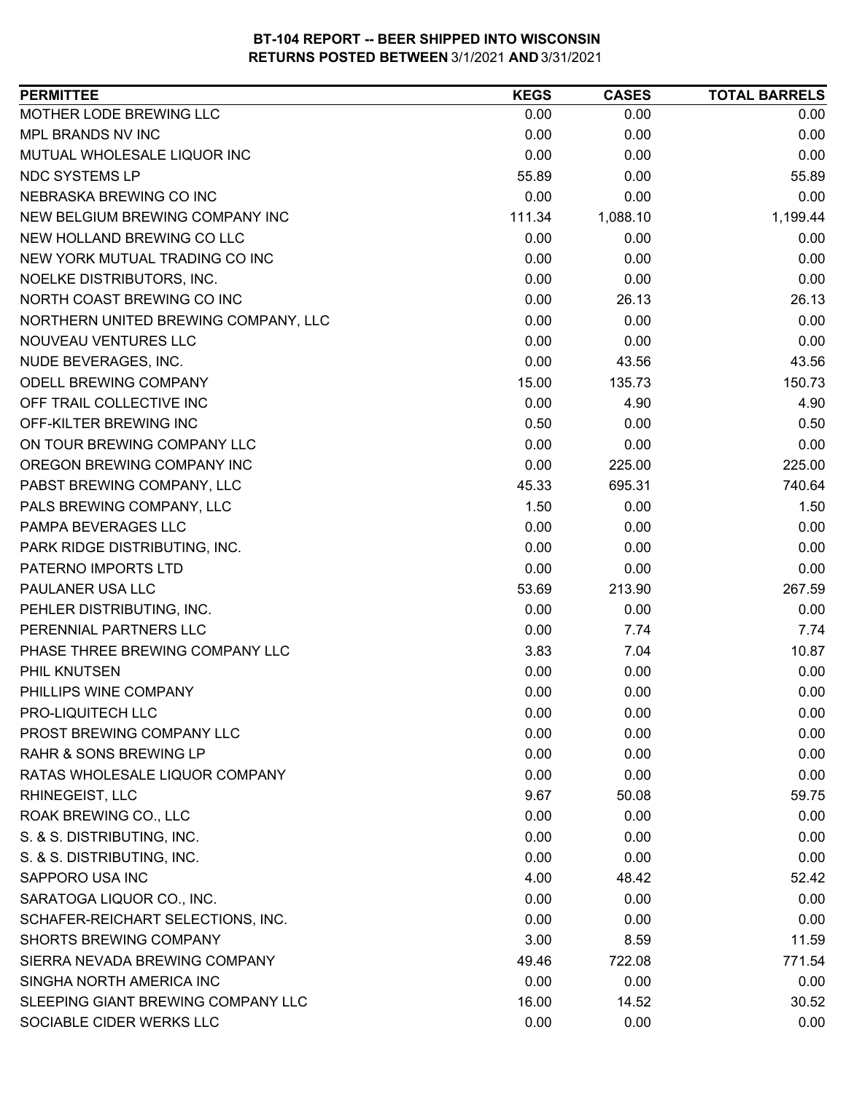| <b>PERMITTEE</b>                     | <b>KEGS</b> | <b>CASES</b> | <b>TOTAL BARRELS</b> |
|--------------------------------------|-------------|--------------|----------------------|
| MOTHER LODE BREWING LLC              | 0.00        | 0.00         | 0.00                 |
| MPL BRANDS NV INC                    | 0.00        | 0.00         | 0.00                 |
| MUTUAL WHOLESALE LIQUOR INC          | 0.00        | 0.00         | 0.00                 |
| <b>NDC SYSTEMS LP</b>                | 55.89       | 0.00         | 55.89                |
| NEBRASKA BREWING CO INC              | 0.00        | 0.00         | 0.00                 |
| NEW BELGIUM BREWING COMPANY INC      | 111.34      | 1,088.10     | 1,199.44             |
| NEW HOLLAND BREWING CO LLC           | 0.00        | 0.00         | 0.00                 |
| NEW YORK MUTUAL TRADING CO INC       | 0.00        | 0.00         | 0.00                 |
| NOELKE DISTRIBUTORS, INC.            | 0.00        | 0.00         | 0.00                 |
| NORTH COAST BREWING CO INC           | 0.00        | 26.13        | 26.13                |
| NORTHERN UNITED BREWING COMPANY, LLC | 0.00        | 0.00         | 0.00                 |
| NOUVEAU VENTURES LLC                 | 0.00        | 0.00         | 0.00                 |
| NUDE BEVERAGES, INC.                 | 0.00        | 43.56        | 43.56                |
| <b>ODELL BREWING COMPANY</b>         | 15.00       | 135.73       | 150.73               |
| OFF TRAIL COLLECTIVE INC             | 0.00        | 4.90         | 4.90                 |
| OFF-KILTER BREWING INC               | 0.50        | 0.00         | 0.50                 |
| ON TOUR BREWING COMPANY LLC          | 0.00        | 0.00         | 0.00                 |
| OREGON BREWING COMPANY INC           | 0.00        | 225.00       | 225.00               |
| PABST BREWING COMPANY, LLC           | 45.33       | 695.31       | 740.64               |
| PALS BREWING COMPANY, LLC            | 1.50        | 0.00         | 1.50                 |
| PAMPA BEVERAGES LLC                  | 0.00        | 0.00         | 0.00                 |
| PARK RIDGE DISTRIBUTING, INC.        | 0.00        | 0.00         | 0.00                 |
| PATERNO IMPORTS LTD                  | 0.00        | 0.00         | 0.00                 |
| PAULANER USA LLC                     | 53.69       | 213.90       | 267.59               |
| PEHLER DISTRIBUTING, INC.            | 0.00        | 0.00         | 0.00                 |
| PERENNIAL PARTNERS LLC               | 0.00        | 7.74         | 7.74                 |
| PHASE THREE BREWING COMPANY LLC      | 3.83        | 7.04         | 10.87                |
| PHIL KNUTSEN                         | 0.00        | 0.00         | 0.00                 |
| PHILLIPS WINE COMPANY                | 0.00        | 0.00         | 0.00                 |
| PRO-LIQUITECH LLC                    | 0.00        | 0.00         | 0.00                 |
| PROST BREWING COMPANY LLC            | 0.00        | 0.00         | 0.00                 |
| <b>RAHR &amp; SONS BREWING LP</b>    | 0.00        | 0.00         | 0.00                 |
| RATAS WHOLESALE LIQUOR COMPANY       | 0.00        | 0.00         | 0.00                 |
| RHINEGEIST, LLC                      | 9.67        | 50.08        | 59.75                |
| ROAK BREWING CO., LLC                | 0.00        | 0.00         | 0.00                 |
| S. & S. DISTRIBUTING, INC.           | 0.00        | 0.00         | 0.00                 |
| S. & S. DISTRIBUTING, INC.           | 0.00        | 0.00         | 0.00                 |
| SAPPORO USA INC                      | 4.00        | 48.42        | 52.42                |
| SARATOGA LIQUOR CO., INC.            | 0.00        | 0.00         | 0.00                 |
| SCHAFER-REICHART SELECTIONS, INC.    | 0.00        | 0.00         | 0.00                 |
| <b>SHORTS BREWING COMPANY</b>        | 3.00        | 8.59         | 11.59                |
| SIERRA NEVADA BREWING COMPANY        | 49.46       | 722.08       | 771.54               |
| SINGHA NORTH AMERICA INC             | 0.00        | 0.00         | 0.00                 |
| SLEEPING GIANT BREWING COMPANY LLC   | 16.00       | 14.52        | 30.52                |
| SOCIABLE CIDER WERKS LLC             | 0.00        | 0.00         | 0.00                 |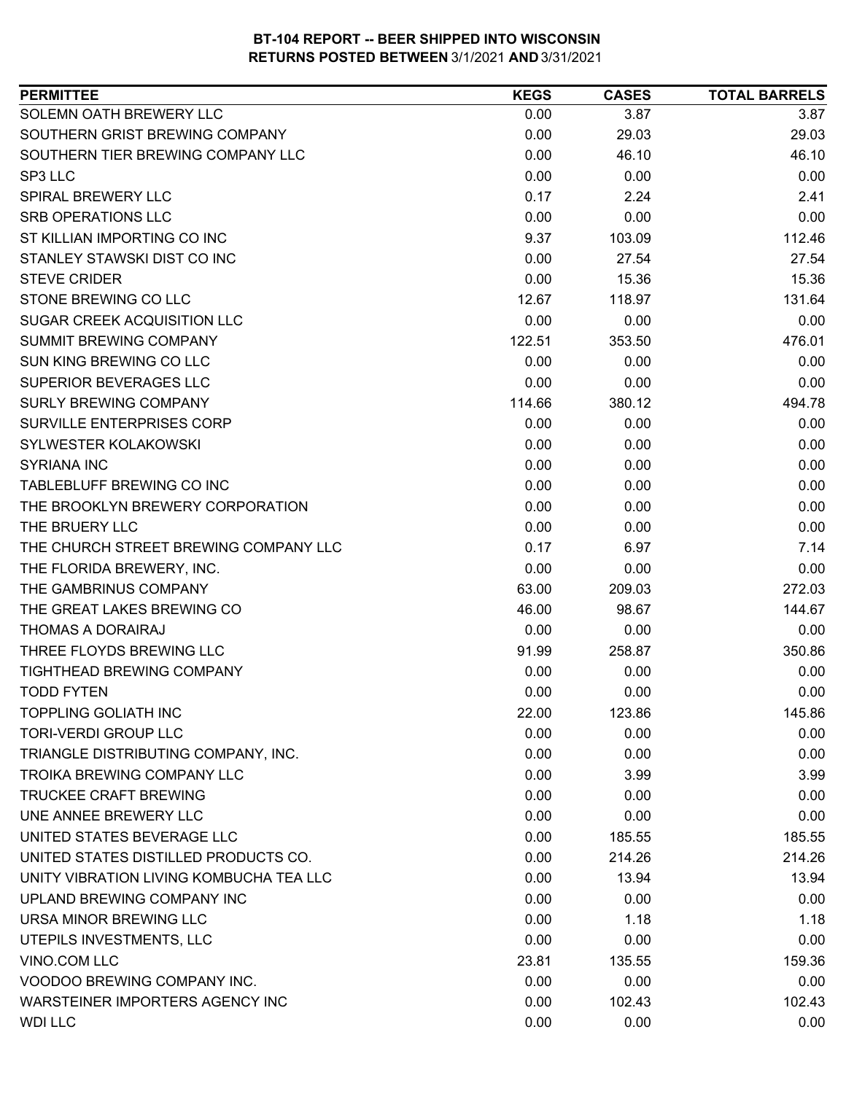| <b>PERMITTEE</b>                        | <b>KEGS</b> | <b>CASES</b> | <b>TOTAL BARRELS</b> |
|-----------------------------------------|-------------|--------------|----------------------|
| SOLEMN OATH BREWERY LLC                 | 0.00        | 3.87         | 3.87                 |
| SOUTHERN GRIST BREWING COMPANY          | 0.00        | 29.03        | 29.03                |
| SOUTHERN TIER BREWING COMPANY LLC       | 0.00        | 46.10        | 46.10                |
| SP3 LLC                                 | 0.00        | 0.00         | 0.00                 |
| <b>SPIRAL BREWERY LLC</b>               | 0.17        | 2.24         | 2.41                 |
| <b>SRB OPERATIONS LLC</b>               | 0.00        | 0.00         | 0.00                 |
| ST KILLIAN IMPORTING CO INC             | 9.37        | 103.09       | 112.46               |
| STANLEY STAWSKI DIST CO INC             | 0.00        | 27.54        | 27.54                |
| <b>STEVE CRIDER</b>                     | 0.00        | 15.36        | 15.36                |
| STONE BREWING CO LLC                    | 12.67       | 118.97       | 131.64               |
| <b>SUGAR CREEK ACQUISITION LLC</b>      | 0.00        | 0.00         | 0.00                 |
| SUMMIT BREWING COMPANY                  | 122.51      | 353.50       | 476.01               |
| SUN KING BREWING CO LLC                 | 0.00        | 0.00         | 0.00                 |
| SUPERIOR BEVERAGES LLC                  | 0.00        | 0.00         | 0.00                 |
| <b>SURLY BREWING COMPANY</b>            | 114.66      | 380.12       | 494.78               |
| <b>SURVILLE ENTERPRISES CORP</b>        | 0.00        | 0.00         | 0.00                 |
| SYLWESTER KOLAKOWSKI                    | 0.00        | 0.00         | 0.00                 |
| <b>SYRIANA INC</b>                      | 0.00        | 0.00         | 0.00                 |
| TABLEBLUFF BREWING CO INC               | 0.00        | 0.00         | 0.00                 |
| THE BROOKLYN BREWERY CORPORATION        | 0.00        | 0.00         | 0.00                 |
| THE BRUERY LLC                          | 0.00        | 0.00         | 0.00                 |
| THE CHURCH STREET BREWING COMPANY LLC   | 0.17        | 6.97         | 7.14                 |
| THE FLORIDA BREWERY, INC.               | 0.00        | 0.00         | 0.00                 |
| THE GAMBRINUS COMPANY                   | 63.00       | 209.03       | 272.03               |
| THE GREAT LAKES BREWING CO              | 46.00       | 98.67        | 144.67               |
| THOMAS A DORAIRAJ                       | 0.00        | 0.00         | 0.00                 |
| THREE FLOYDS BREWING LLC                | 91.99       | 258.87       | 350.86               |
| <b>TIGHTHEAD BREWING COMPANY</b>        | 0.00        | 0.00         | 0.00                 |
| <b>TODD FYTEN</b>                       | 0.00        | 0.00         | 0.00                 |
| <b>TOPPLING GOLIATH INC</b>             | 22.00       | 123.86       | 145.86               |
| <b>TORI-VERDI GROUP LLC</b>             | 0.00        | 0.00         | 0.00                 |
| TRIANGLE DISTRIBUTING COMPANY, INC.     | 0.00        | 0.00         | 0.00                 |
| <b>TROIKA BREWING COMPANY LLC</b>       | 0.00        | 3.99         | 3.99                 |
| <b>TRUCKEE CRAFT BREWING</b>            | 0.00        | 0.00         | 0.00                 |
| UNE ANNEE BREWERY LLC                   | 0.00        | 0.00         | 0.00                 |
| UNITED STATES BEVERAGE LLC              | 0.00        | 185.55       | 185.55               |
| UNITED STATES DISTILLED PRODUCTS CO.    | 0.00        | 214.26       | 214.26               |
| UNITY VIBRATION LIVING KOMBUCHA TEA LLC | 0.00        | 13.94        | 13.94                |
| UPLAND BREWING COMPANY INC              | 0.00        | 0.00         | 0.00                 |
| URSA MINOR BREWING LLC                  | 0.00        | 1.18         | 1.18                 |
| UTEPILS INVESTMENTS, LLC                | 0.00        | 0.00         | 0.00                 |
| VINO.COM LLC                            | 23.81       | 135.55       | 159.36               |
| VOODOO BREWING COMPANY INC.             | 0.00        | 0.00         | 0.00                 |
| WARSTEINER IMPORTERS AGENCY INC         | 0.00        | 102.43       | 102.43               |
| <b>WDI LLC</b>                          | 0.00        | 0.00         | 0.00                 |